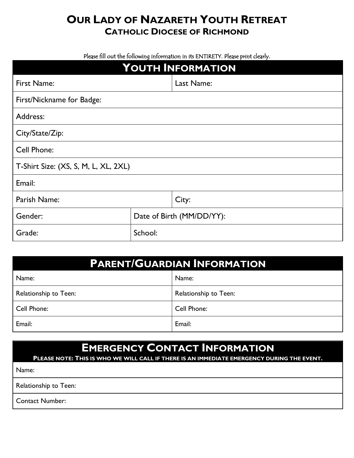## **OUR LADY OF NAZARETH YOUTH RETREAT CATHOLIC DIOCESE OF RICHMOND**

Please fill out the following information in its ENTIRETY. Please print clearly.

| YOUTH INFORMATION                    |                           |            |  |  |
|--------------------------------------|---------------------------|------------|--|--|
| First Name:                          |                           | Last Name: |  |  |
| First/Nickname for Badge:            |                           |            |  |  |
| Address:                             |                           |            |  |  |
| City/State/Zip:                      |                           |            |  |  |
| Cell Phone:                          |                           |            |  |  |
| T-Shirt Size: (XS, S, M, L, XL, 2XL) |                           |            |  |  |
| Email:                               |                           |            |  |  |
| Parish Name:                         |                           | City:      |  |  |
| Gender:                              | Date of Birth (MM/DD/YY): |            |  |  |
| Grade:                               | School:                   |            |  |  |

| <b>PARENT/GUARDIAN INFORMATION</b> |                       |  |  |
|------------------------------------|-----------------------|--|--|
| Name:                              | Name:                 |  |  |
| Relationship to Teen:              | Relationship to Teen: |  |  |
| Cell Phone:                        | Cell Phone:           |  |  |
| Email:                             | Email:                |  |  |

# **EMERGENCY CONTACT INFORMATION**

**PLEASE NOTE: THIS IS WHO WE WILL CALL IF THERE IS AN IMMEDIATE EMERGENCY DURING THE EVENT.**

Name:

Relationship to Teen:

Contact Number: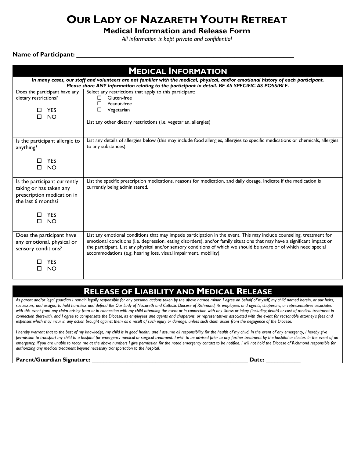## **OUR LADY OF NAZARETH YOUTH RETREAT**

**Medical Information and Release Form**

*All information is kept private and confidential*

#### **Name of Participant:** \_\_\_\_\_\_\_\_\_\_\_\_\_\_\_\_\_\_\_\_\_\_\_\_\_\_\_\_\_\_\_\_\_\_\_\_\_\_\_\_\_\_\_\_\_\_\_\_\_\_\_\_\_\_\_\_\_\_\_\_\_\_

| <b>MEDICAL INFORMATION</b>                                                                                                                                                                                                            |                                                                                                                                                                                                                                                                                                                                                                                                                                           |  |  |
|---------------------------------------------------------------------------------------------------------------------------------------------------------------------------------------------------------------------------------------|-------------------------------------------------------------------------------------------------------------------------------------------------------------------------------------------------------------------------------------------------------------------------------------------------------------------------------------------------------------------------------------------------------------------------------------------|--|--|
| In many cases, our staff and volunteers are not familiar with the medical, physical, and/or emotional history of each participant.<br>Please share ANY information relating to the participant in detail. BE AS SPECIFIC AS POSSIBLE. |                                                                                                                                                                                                                                                                                                                                                                                                                                           |  |  |
| Does the participant have any<br>dietary restrictions?<br>$\square$ YES<br><b>NO</b><br>П.                                                                                                                                            | Select any restrictions that apply to this participant:<br>Gluten-free<br>□<br>Peanut-free<br>□<br>Vegetarian<br>□<br>List any other dietary restrictions (i.e. vegetarian, allergies)                                                                                                                                                                                                                                                    |  |  |
| Is the participant allergic to<br>anything?                                                                                                                                                                                           | List any details of allergies below (this may include food allergies, allergies to specific medications or chemicals, allergies<br>to any substances):                                                                                                                                                                                                                                                                                    |  |  |
| $\square$ YES<br>п<br><b>NO</b>                                                                                                                                                                                                       |                                                                                                                                                                                                                                                                                                                                                                                                                                           |  |  |
| Is the participant currently<br>taking or has taken any<br>prescription medication in<br>the last 6 months?                                                                                                                           | List the specific prescription medications, reasons for medication, and daily dosage. Indicate if the medication is<br>currently being administered.                                                                                                                                                                                                                                                                                      |  |  |
| <b>YES</b><br><b>NO</b><br>$\Box$                                                                                                                                                                                                     |                                                                                                                                                                                                                                                                                                                                                                                                                                           |  |  |
| Does the participant have<br>any emotional, physical or<br>sensory conditions?                                                                                                                                                        | List any emotional conditions that may impede participation in the event. This may include counseling, treatment for<br>emotional conditions (i.e. depression, eating disorders), and/or family situations that may have a significant impact on<br>the participant. List any physical and/or sensory conditions of which we should be aware or of which need special<br>accommodations (e.g. hearing loss, visual impairment, mobility). |  |  |
| <b>YES</b><br><b>NO</b><br>П                                                                                                                                                                                                          |                                                                                                                                                                                                                                                                                                                                                                                                                                           |  |  |

### **RELEASE OF LIABILITY AND MEDICAL RELEASE**

*As parent and/or legal guardian I remain legally responsible for any personal actions taken by the above named minor. I agree on behalf of myself, my child named herein, or our heirs, successors, and assigns, to hold harmless and defend the Our Lady of Nazareth and Catholic Diocese of Richmond, its employees and agents, chaperons, or representatives associated with this event from any claim arising from or in connection with my child attending the event or in connection with any illness or injury (including death) or cost of medical treatment in connection therewith, and I agree to compensate the Diocese, its employees and agents and chaperons, or representatives associated with the event for reasonable attorney's fees and expenses which may incur in any action brought against them as a result of such injury or damage, unless such claim arises from the negligence of the Diocese.* 

I hereby warrant that to the best of my knowledge, my child is in good health, and I assume all responsibility for the health of my child. In the event of any emergency, I hereby give *permission to transport my child to a hospital for emergency medical or surgical treatment. I wish to be advised prior to any further treatment by the hospital or doctor. In the event of an emergency, if you are unable to reach me at the above numbers I give permission for the noted emergency contact to be notified. I will not hold the Diocese of Richmond responsible for authorizing any medical treatment beyond necessary transportation to the hospital.* 

#### **Parent/Guardian Signature: \_\_\_\_\_\_\_\_\_\_\_\_\_\_\_\_\_\_\_\_\_\_\_\_\_\_\_\_\_\_\_\_\_\_\_\_\_\_\_\_\_\_\_\_\_\_\_\_\_\_\_\_\_\_ Date: \_\_\_\_\_\_\_\_\_\_\_\_**